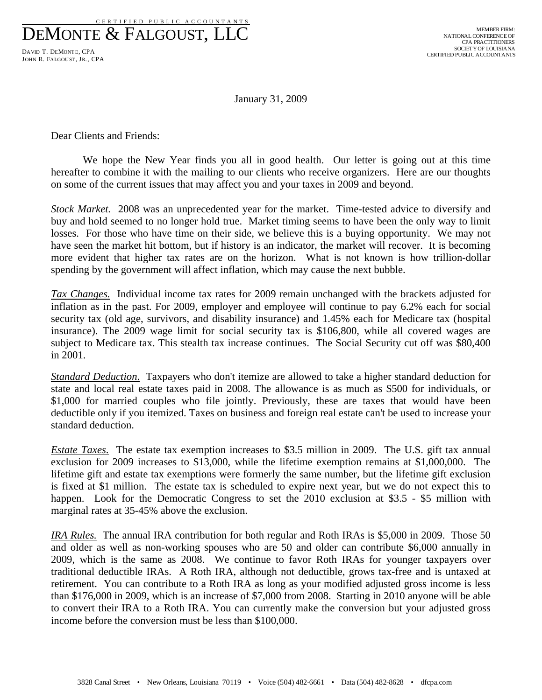DEMONTE & FALGOUST, LLC DAVID T. DEMONTE, CPA

JOHN R. FALGOUST, JR., CPA

January 31, 2009

Dear Clients and Friends:

 We hope the New Year finds you all in good health. Our letter is going out at this time hereafter to combine it with the mailing to our clients who receive organizers. Here are our thoughts on some of the current issues that may affect you and your taxes in 2009 and beyond.

*Stock Market.* 2008 was an unprecedented year for the market. Time-tested advice to diversify and buy and hold seemed to no longer hold true. Market timing seems to have been the only way to limit losses. For those who have time on their side, we believe this is a buying opportunity. We may not have seen the market hit bottom, but if history is an indicator, the market will recover. It is becoming more evident that higher tax rates are on the horizon. What is not known is how trillion-dollar spending by the government will affect inflation, which may cause the next bubble.

*Tax Changes.* Individual income tax rates for 2009 remain unchanged with the brackets adjusted for inflation as in the past. For 2009, employer and employee will continue to pay 6.2% each for social security tax (old age, survivors, and disability insurance) and 1.45% each for Medicare tax (hospital insurance). The 2009 wage limit for social security tax is \$106,800, while all covered wages are subject to Medicare tax. This stealth tax increase continues. The Social Security cut off was \$80,400 in 2001.

*Standard Deduction*. Taxpayers who don't itemize are allowed to take a higher standard deduction for state and local real estate taxes paid in 2008. The allowance is as much as \$500 for individuals, or \$1,000 for married couples who file jointly. Previously, these are taxes that would have been deductible only if you itemized. Taxes on business and foreign real estate can't be used to increase your standard deduction.

*Estate Taxes*. The estate tax exemption increases to \$3.5 million in 2009. The U.S. gift tax annual exclusion for 2009 increases to \$13,000, while the lifetime exemption remains at \$1,000,000. The lifetime gift and estate tax exemptions were formerly the same number, but the lifetime gift exclusion is fixed at \$1 million. The estate tax is scheduled to expire next year, but we do not expect this to happen. Look for the Democratic Congress to set the 2010 exclusion at \$3.5 - \$5 million with marginal rates at 35-45% above the exclusion.

*IRA Rules.* The annual IRA contribution for both regular and Roth IRAs is \$5,000 in 2009. Those 50 and older as well as non-working spouses who are 50 and older can contribute \$6,000 annually in 2009, which is the same as 2008. We continue to favor Roth IRAs for younger taxpayers over traditional deductible IRAs. A Roth IRA, although not deductible, grows tax-free and is untaxed at retirement. You can contribute to a Roth IRA as long as your modified adjusted gross income is less than \$176,000 in 2009, which is an increase of \$7,000 from 2008. Starting in 2010 anyone will be able to convert their IRA to a Roth IRA. You can currently make the conversion but your adjusted gross income before the conversion must be less than \$100,000.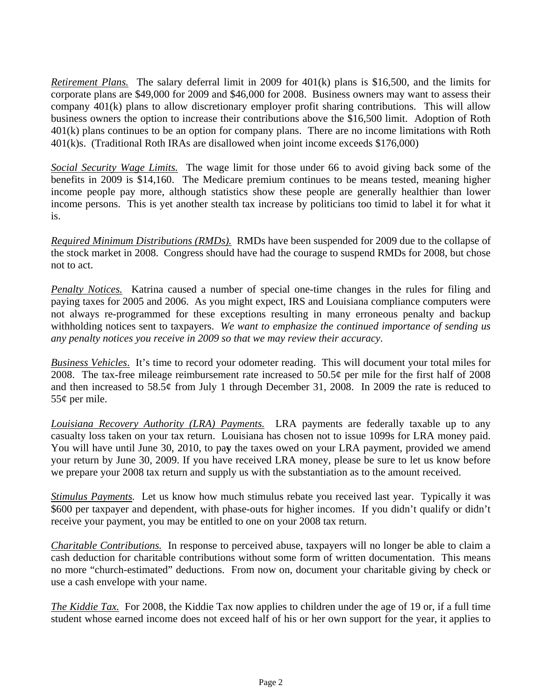*Retirement Plans.* The salary deferral limit in 2009 for 401(k) plans is \$16,500, and the limits for corporate plans are \$49,000 for 2009 and \$46,000 for 2008. Business owners may want to assess their company 401(k) plans to allow discretionary employer profit sharing contributions. This will allow business owners the option to increase their contributions above the \$16,500 limit. Adoption of Roth 401(k) plans continues to be an option for company plans. There are no income limitations with Roth 401(k)s. (Traditional Roth IRAs are disallowed when joint income exceeds \$176,000)

*Social Security Wage Limits.* The wage limit for those under 66 to avoid giving back some of the benefits in 2009 is \$14,160. The Medicare premium continues to be means tested, meaning higher income people pay more, although statistics show these people are generally healthier than lower income persons. This is yet another stealth tax increase by politicians too timid to label it for what it is.

*Required Minimum Distributions (RMDs).* RMDs have been suspended for 2009 due to the collapse of the stock market in 2008. Congress should have had the courage to suspend RMDs for 2008, but chose not to act.

*Penalty Notices.* Katrina caused a number of special one-time changes in the rules for filing and paying taxes for 2005 and 2006. As you might expect, IRS and Louisiana compliance computers were not always re-programmed for these exceptions resulting in many erroneous penalty and backup withholding notices sent to taxpayers. *We want to emphasize the continued importance of sending us any penalty notices you receive in 2009 so that we may review their accuracy*.

*Business Vehicles*. It's time to record your odometer reading. This will document your total miles for 2008. The tax-free mileage reimbursement rate increased to  $50.5\phi$  per mile for the first half of 2008 and then increased to 58.5¢ from July 1 through December 31, 2008. In 2009 the rate is reduced to 55¢ per mile.

*Louisiana Recovery Authority (LRA) Payments.* LRA payments are federally taxable up to any casualty loss taken on your tax return. Louisiana has chosen not to issue 1099s for LRA money paid. You will have until June 30, 2010, to pa**y** the taxes owed on your LRA payment, provided we amend your return by June 30, 2009. If you have received LRA money, please be sure to let us know before we prepare your 2008 tax return and supply us with the substantiation as to the amount received.

*Stimulus Payments.* Let us know how much stimulus rebate you received last year. Typically it was \$600 per taxpayer and dependent, with phase-outs for higher incomes. If you didn't qualify or didn't receive your payment, you may be entitled to one on your 2008 tax return.

*Charitable Contributions.* In response to perceived abuse, taxpayers will no longer be able to claim a cash deduction for charitable contributions without some form of written documentation. This means no more "church-estimated" deductions. From now on, document your charitable giving by check or use a cash envelope with your name.

*The Kiddie Tax.* For 2008, the Kiddie Tax now applies to children under the age of 19 or, if a full time student whose earned income does not exceed half of his or her own support for the year, it applies to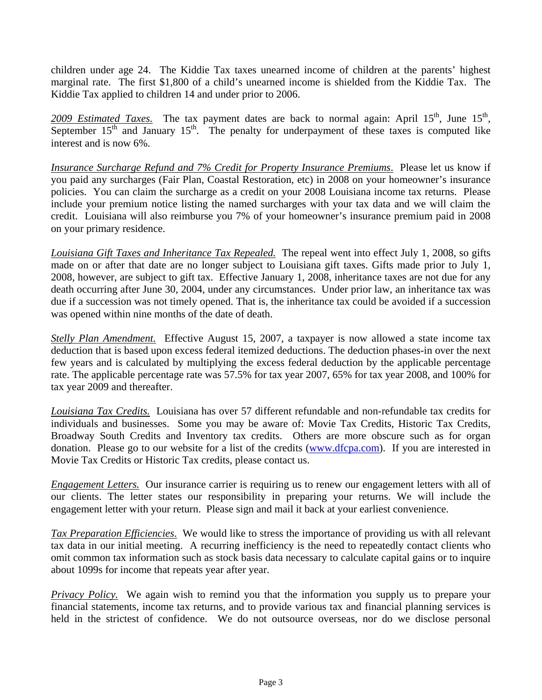children under age 24. The Kiddie Tax taxes unearned income of children at the parents' highest marginal rate. The first \$1,800 of a child's unearned income is shielded from the Kiddie Tax. The Kiddie Tax applied to children 14 and under prior to 2006.

2009 Estimated Taxes. The tax payment dates are back to normal again: April 15<sup>th</sup>, June 15<sup>th</sup>, September  $15<sup>th</sup>$  and January  $15<sup>th</sup>$ . The penalty for underpayment of these taxes is computed like interest and is now 6%.

*Insurance Surcharge Refund and 7% Credit for Property Insurance Premiums*. Please let us know if you paid any surcharges (Fair Plan, Coastal Restoration, etc) in 2008 on your homeowner's insurance policies. You can claim the surcharge as a credit on your 2008 Louisiana income tax returns. Please include your premium notice listing the named surcharges with your tax data and we will claim the credit. Louisiana will also reimburse you 7% of your homeowner's insurance premium paid in 2008 on your primary residence.

*Louisiana Gift Taxes and Inheritance Tax Repealed.* The repeal went into effect July 1, 2008, so gifts made on or after that date are no longer subject to Louisiana gift taxes. Gifts made prior to July 1, 2008, however, are subject to gift tax. Effective January 1, 2008, inheritance taxes are not due for any death occurring after June 30, 2004, under any circumstances. Under prior law, an inheritance tax was due if a succession was not timely opened. That is, the inheritance tax could be avoided if a succession was opened within nine months of the date of death.

*Stelly Plan Amendment.* Effective August 15, 2007, a taxpayer is now allowed a state income tax deduction that is based upon excess federal itemized deductions. The deduction phases-in over the next few years and is calculated by multiplying the excess federal deduction by the applicable percentage rate. The applicable percentage rate was 57.5% for tax year 2007, 65% for tax year 2008, and 100% for tax year 2009 and thereafter.

*Louisiana Tax Credits.* Louisiana has over 57 different refundable and non-refundable tax credits for individuals and businesses. Some you may be aware of: Movie Tax Credits, Historic Tax Credits, Broadway South Credits and Inventory tax credits. Others are more obscure such as for organ donation. Please go to our website for a list of the credits (www.dfcpa.com). If you are interested in Movie Tax Credits or Historic Tax credits, please contact us.

*Engagement Letters.* Our insurance carrier is requiring us to renew our engagement letters with all of our clients. The letter states our responsibility in preparing your returns. We will include the engagement letter with your return. Please sign and mail it back at your earliest convenience.

*Tax Preparation Efficiencies*. We would like to stress the importance of providing us with all relevant tax data in our initial meeting. A recurring inefficiency is the need to repeatedly contact clients who omit common tax information such as stock basis data necessary to calculate capital gains or to inquire about 1099s for income that repeats year after year.

*Privacy Policy.* We again wish to remind you that the information you supply us to prepare your financial statements, income tax returns, and to provide various tax and financial planning services is held in the strictest of confidence. We do not outsource overseas, nor do we disclose personal